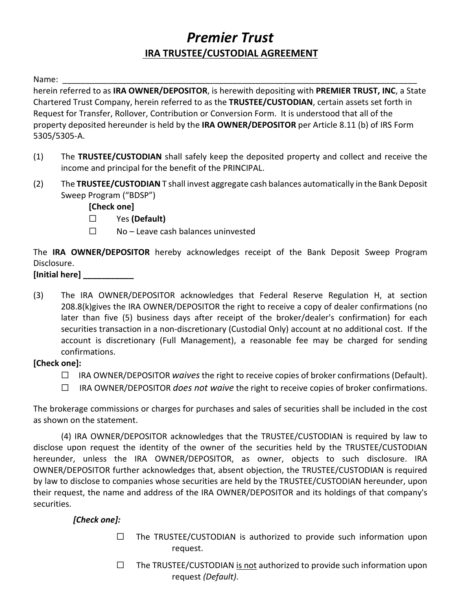# *Premier Trust* **IRA TRUSTEE/CUSTODIAL AGREEMENT**

Name: \_\_\_\_\_\_\_\_\_\_\_\_\_\_\_\_\_\_\_\_\_\_\_\_\_\_\_\_\_\_\_\_\_\_\_\_\_\_\_\_\_\_\_\_\_\_\_\_\_\_\_\_\_\_\_\_\_\_\_\_\_\_\_\_\_\_\_\_\_\_\_\_\_\_\_\_\_

herein referred to as **IRA OWNER/DEPOSITOR**, is herewith depositing with **PREMIER TRUST, INC**, a State Chartered Trust Company, herein referred to as the **TRUSTEE/CUSTODIAN**, certain assets set forth in Request for Transfer, Rollover, Contribution or Conversion Form. It is understood that all of the property deposited hereunder is held by the **IRA OWNER/DEPOSITOR** per Article 8.11 (b) of IRS Form 5305/5305-A.

- (1) The **TRUSTEE/CUSTODIAN** shall safely keep the deposited property and collect and receive the income and principal for the benefit of the PRINCIPAL.
- (2) The **TRUSTEE/CUSTODIAN** T shall invest aggregate cash balances automatically in the Bank Deposit Sweep Program ("BDSP")

**[Check one]**

- ☐ Yes **(Default)**
- ☐ No Leave cash balances uninvested

The **IRA OWNER/DEPOSITOR** hereby acknowledges receipt of the Bank Deposit Sweep Program Disclosure.

## **[Initial here] \_\_\_\_\_\_\_\_\_\_\_**

(3) The IRA OWNER/DEPOSITOR acknowledges that Federal Reserve Regulation H, at section 208.8(k)gives the IRA OWNER/DEPOSITOR the right to receive a copy of dealer confirmations (no later than five (5) business days after receipt of the broker/dealer's confirmation) for each securities transaction in a non-discretionary (Custodial Only) account at no additional cost. If the account is discretionary (Full Management), a reasonable fee may be charged for sending confirmations.

#### **[Check one]:**

- ☐ IRA OWNER/DEPOSITOR *waives* the right to receive copies of broker confirmations (Default).
- ☐ IRA OWNER/DEPOSITOR *does not waive* the right to receive copies of broker confirmations.

The brokerage commissions or charges for purchases and sales of securities shall be included in the cost as shown on the statement.

(4) IRA OWNER/DEPOSITOR acknowledges that the TRUSTEE/CUSTODIAN is required by law to disclose upon request the identity of the owner of the securities held by the TRUSTEE/CUSTODIAN hereunder, unless the IRA OWNER/DEPOSITOR, as owner, objects to such disclosure. IRA OWNER/DEPOSITOR further acknowledges that, absent objection, the TRUSTEE/CUSTODIAN is required by law to disclose to companies whose securities are held by the TRUSTEE/CUSTODIAN hereunder, upon their request, the name and address of the IRA OWNER/DEPOSITOR and its holdings of that company's securities.

# *[Check one]:*

- $\Box$  The TRUSTEE/CUSTODIAN is authorized to provide such information upon request.
- $\Box$  The TRUSTEE/CUSTODIAN is not authorized to provide such information upon request *(Default)*.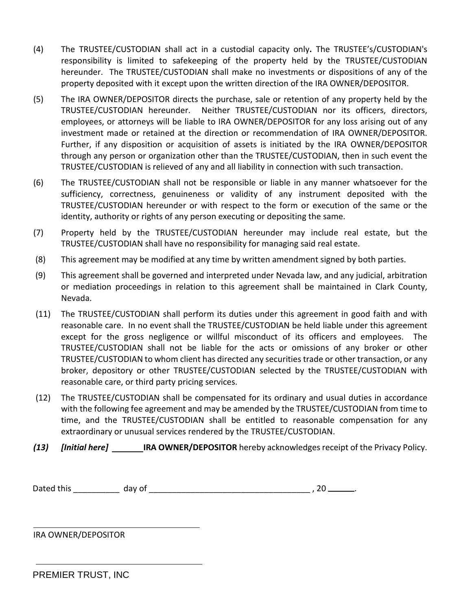- (4) The TRUSTEE/CUSTODIAN shall act in a custodial capacity only**.** The TRUSTEE's/CUSTODIAN's responsibility is limited to safekeeping of the property held by the TRUSTEE/CUSTODIAN hereunder. The TRUSTEE/CUSTODIAN shall make no investments or dispositions of any of the property deposited with it except upon the written direction of the IRA OWNER/DEPOSITOR.
- (5) The IRA OWNER/DEPOSITOR directs the purchase, sale or retention of any property held by the TRUSTEE/CUSTODIAN hereunder. Neither TRUSTEE/CUSTODIAN nor its officers, directors, employees, or attorneys will be liable to IRA OWNER/DEPOSITOR for any loss arising out of any investment made or retained at the direction or recommendation of IRA OWNER/DEPOSITOR. Further, if any disposition or acquisition of assets is initiated by the IRA OWNER/DEPOSITOR through any person or organization other than the TRUSTEE/CUSTODIAN, then in such event the TRUSTEE/CUSTODIAN is relieved of any and all liability in connection with such transaction.
- (6) The TRUSTEE/CUSTODIAN shall not be responsible or liable in any manner whatsoever for the sufficiency, correctness, genuineness or validity of any instrument deposited with the TRUSTEE/CUSTODIAN hereunder or with respect to the form or execution of the same or the identity, authority or rights of any person executing or depositing the same.
- (7) Property held by the TRUSTEE/CUSTODIAN hereunder may include real estate, but the TRUSTEE/CUSTODIAN shall have no responsibility for managing said real estate.
- (8) This agreement may be modified at any time by written amendment signed by both parties.
- (9) This agreement shall be governed and interpreted under Nevada law, and any judicial, arbitration or mediation proceedings in relation to this agreement shall be maintained in Clark County, Nevada.
- (11) The TRUSTEE/CUSTODIAN shall perform its duties under this agreement in good faith and with reasonable care. In no event shall the TRUSTEE/CUSTODIAN be held liable under this agreement except for the gross negligence or willful misconduct of its officers and employees. The TRUSTEE/CUSTODIAN shall not be liable for the acts or omissions of any broker or other TRUSTEE/CUSTODIAN to whom client has directed any securities trade or other transaction, or any broker, depository or other TRUSTEE/CUSTODIAN selected by the TRUSTEE/CUSTODIAN with reasonable care, or third party pricing services.
- (12) The TRUSTEE/CUSTODIAN shall be compensated for its ordinary and usual duties in accordance with the following fee agreement and may be amended by the TRUSTEE/CUSTODIAN from time to time, and the TRUSTEE/CUSTODIAN shall be entitled to reasonable compensation for any extraordinary or unusual services rendered by the TRUSTEE/CUSTODIAN.
- *(13) [Initial here]* **IRA OWNER/DEPOSITOR** hereby acknowledges receipt of the Privacy Policy.

Dated this \_\_\_\_\_\_\_\_\_\_ day of \_\_\_\_\_\_\_\_\_\_\_\_\_\_\_\_\_\_\_\_\_\_\_\_\_\_\_\_\_\_\_\_\_\_\_ , 20 .

IRA OWNER/DEPOSITOR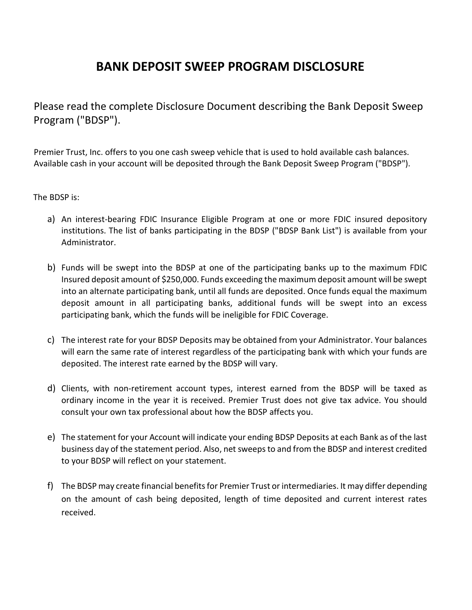# **BANK DEPOSIT SWEEP PROGRAM DISCLOSURE**

Please read the complete Disclosure Document describing the Bank Deposit Sweep Program ("BDSP").

Premier Trust, Inc. offers to you one cash sweep vehicle that is used to hold available cash balances. Available cash in your account will be deposited through the Bank Deposit Sweep Program ("BDSP").

The BDSP is:

- a) An interest-bearing FDIC Insurance Eligible Program at one or more FDIC insured depository institutions. The list of banks participating in the BDSP ("BDSP Bank List") is available from your Administrator.
- b) Funds will be swept into the BDSP at one of the participating banks up to the maximum FDIC Insured deposit amount of \$250,000. Funds exceeding the maximum deposit amount will be swept into an alternate participating bank, until all funds are deposited. Once funds equal the maximum deposit amount in all participating banks, additional funds will be swept into an excess participating bank, which the funds will be ineligible for FDIC Coverage.
- c) The interest rate for your BDSP Deposits may be obtained from your Administrator. Your balances will earn the same rate of interest regardless of the participating bank with which your funds are deposited. The interest rate earned by the BDSP will vary.
- d) Clients, with non-retirement account types, interest earned from the BDSP will be taxed as ordinary income in the year it is received. Premier Trust does not give tax advice. You should consult your own tax professional about how the BDSP affects you.
- e) The statement for your Account will indicate your ending BDSP Deposits at each Bank as of the last business day of the statement period. Also, net sweeps to and from the BDSP and interest credited to your BDSP will reflect on your statement.
- f) The BDSP may create financial benefits for Premier Trust or intermediaries. It may differ depending on the amount of cash being deposited, length of time deposited and current interest rates received.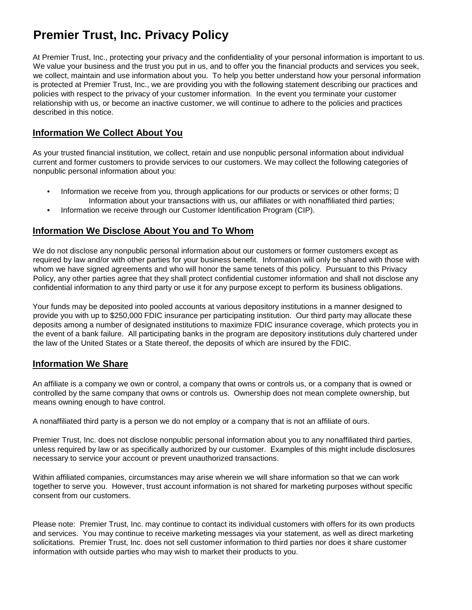# **Premier Trust, Inc. Privacy Policy**

At Premier Trust, Inc., protecting your privacy and the confidentiality of your personal information is important to us. We value your business and the trust you put in us, and to offer you the financial products and services you seek, we collect, maintain and use information about you. To help you better understand how your personal information is protected at Premier Trust, Inc., we are providing you with the following statement describing our practices and policies with respect to the privacy of your customer information. In the event you terminate your customer relationship with us, or become an inactive customer, we will continue to adhere to the policies and practices described in this notice.

## **Information We Collect About You**

As your trusted financial institution, we collect, retain and use nonpublic personal information about individual current and former customers to provide services to our customers. We may collect the following categories of nonpublic personal information about you:

- Information we receive from you, through applications for our products or services or other forms;  $\square$ Information about your transactions with us, our affiliates or with nonaffiliated third parties;
- Information we receive through our Customer Identification Program (CIP).

## **Information We Disclose About You and To Whom**

We do not disclose any nonpublic personal information about our customers or former customers except as required by law and/or with other parties for your business benefit. Information will only be shared with those with whom we have signed agreements and who will honor the same tenets of this policy. Pursuant to this Privacy Policy, any other parties agree that they shall protect confidential customer information and shall not disclose any confidential information to any third party or use it for any purpose except to perform its business obligations.

Your funds may be deposited into pooled accounts at various depository institutions in a manner designed to provide you with up to \$250,000 FDIC insurance per participating institution. Our third party may allocate these deposits among a number of designated institutions to maximize FDIC insurance coverage, which protects you in the event of a bank failure. All participating banks in the program are depository institutions duly chartered under the law of the United States or a State thereof, the deposits of which are insured by the FDIC.

#### **Information We Share**

An affiliate is a company we own or control, a company that owns or controls us, or a company that is owned or controlled by the same company that owns or controls us. Ownership does not mean complete ownership, but means owning enough to have control.

A nonaffiliated third party is a person we do not employ or a company that is not an affiliate of ours.

Premier Trust, Inc. does not disclose nonpublic personal information about you to any nonaffiliated third parties, unless required by law or as specifically authorized by our customer. Examples of this might include disclosures necessary to service your account or prevent unauthorized transactions.

Within affiliated companies, circumstances may arise wherein we will share information so that we can work together to serve you. However, trust account information is not shared for marketing purposes without specific consent from our customers.

Please note: Premier Trust, Inc. may continue to contact its individual customers with offers for its own products and services. You may continue to receive marketing messages via your statement, as well as direct marketing solicitations. Premier Trust, Inc. does not sell customer information to third parties nor does it share customer information with outside parties who may wish to market their products to you.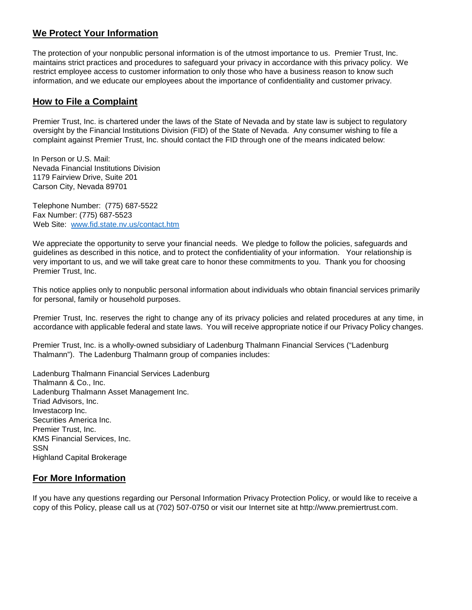## **We Protect Your Information**

The protection of your nonpublic personal information is of the utmost importance to us. Premier Trust, Inc. maintains strict practices and procedures to safeguard your privacy in accordance with this privacy policy. We restrict employee access to customer information to only those who have a business reason to know such information, and we educate our employees about the importance of confidentiality and customer privacy.

#### **How to File a Complaint**

Premier Trust, Inc. is chartered under the laws of the State of Nevada and by state law is subject to regulatory oversight by the Financial Institutions Division (FID) of the State of Nevada. Any consumer wishing to file a complaint against Premier Trust, Inc. should contact the FID through one of the means indicated below:

In Person or U.S. Mail: Nevada Financial Institutions Division 1179 Fairview Drive, Suite 201 Carson City, Nevada 89701

Telephone Number: (775) 687-5522 Fax Number: (775) 687-5523 Web Site: [www.fid.state.nv.us/contact.htm](http://www.fid.state.nv.us/contact.htm)

We appreciate the opportunity to serve your financial needs. We pledge to follow the policies, safeguards and guidelines as described in this notice, and to protect the confidentiality of your information. Your relationship is very important to us, and we will take great care to honor these commitments to you. Thank you for choosing Premier Trust, Inc.

This notice applies only to nonpublic personal information about individuals who obtain financial services primarily for personal, family or household purposes.

Premier Trust, Inc. reserves the right to change any of its privacy policies and related procedures at any time, in accordance with applicable federal and state laws. You will receive appropriate notice if our Privacy Policy changes.

Premier Trust, Inc. is a wholly-owned subsidiary of Ladenburg Thalmann Financial Services ("Ladenburg Thalmann"). The Ladenburg Thalmann group of companies includes:

Ladenburg Thalmann Financial Services Ladenburg Thalmann & Co., Inc. Ladenburg Thalmann Asset Management Inc. Triad Advisors, Inc. Investacorp Inc. Securities America Inc. Premier Trust, Inc. KMS Financial Services, Inc. SSN Highland Capital Brokerage

#### **For More Information**

If you have any questions regarding our Personal Information Privacy Protection Policy, or would like to receive a copy of this Policy, please call us at (702) 507-0750 or visit our Internet site at http://www.premiertrust.com.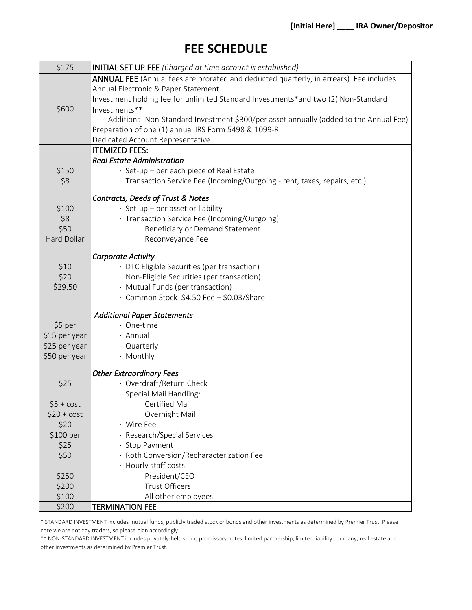# **FEE SCHEDULE**

| \$175              | <b>INITIAL SET UP FEE</b> (Charged at time account is established)                      |
|--------------------|-----------------------------------------------------------------------------------------|
|                    | ANNUAL FEE (Annual fees are prorated and deducted quarterly, in arrears) Fee includes:  |
|                    | Annual Electronic & Paper Statement                                                     |
|                    | Investment holding fee for unlimited Standard Investments*and two (2) Non-Standard      |
| \$600              | Investments**                                                                           |
|                    | · Additional Non-Standard Investment \$300/per asset annually (added to the Annual Fee) |
|                    | Preparation of one (1) annual IRS Form 5498 & 1099-R                                    |
|                    | Dedicated Account Representative                                                        |
|                    | <b>ITEMIZED FEES:</b>                                                                   |
|                    | <b>Real Estate Administration</b>                                                       |
| \$150              | · Set-up – per each piece of Real Estate                                                |
| \$8                | · Transaction Service Fee (Incoming/Outgoing - rent, taxes, repairs, etc.)              |
|                    | Contracts, Deeds of Trust & Notes                                                       |
| \$100              | · Set-up - per asset or liability                                                       |
| \$8                | · Transaction Service Fee (Incoming/Outgoing)                                           |
| \$50               | Beneficiary or Demand Statement                                                         |
| <b>Hard Dollar</b> | Reconveyance Fee                                                                        |
|                    | <b>Corporate Activity</b>                                                               |
| \$10               | · DTC Eligible Securities (per transaction)                                             |
| \$20               | · Non-Eligible Securities (per transaction)                                             |
| \$29.50            | · Mutual Funds (per transaction)                                                        |
|                    | · Common Stock \$4.50 Fee + \$0.03/Share                                                |
|                    |                                                                                         |
|                    | <b>Additional Paper Statements</b>                                                      |
| \$5 per            | $\cdot$ One-time                                                                        |
| \$15 per year      | · Annual                                                                                |
| \$25 per year      | · Quarterly                                                                             |
| \$50 per year      | · Monthly                                                                               |
|                    | <b>Other Extraordinary Fees</b>                                                         |
| \$25               | · Overdraft/Return Check                                                                |
|                    | · Special Mail Handling:                                                                |
| $$5 + cost$        | Certified Mail                                                                          |
| $$20 + cost$       | Overnight Mail                                                                          |
| \$20               | · Wire Fee                                                                              |
| \$100 per          | · Research/Special Services                                                             |
| \$25               | · Stop Payment                                                                          |
| \$50               | · Roth Conversion/Recharacterization Fee                                                |
|                    | · Hourly staff costs                                                                    |
| \$250              | President/CEO                                                                           |
| \$200              | <b>Trust Officers</b>                                                                   |
| \$100              | All other employees                                                                     |
| \$200              | <b>TERMINATION FEE</b>                                                                  |

\* STANDARD INVESTMENT includes mutual funds, publicly traded stock or bonds and other investments as determined by Premier Trust. Please note we are not day traders, so please plan accordingly.

\*\* NON-STANDARD INVESTMENT includes privately-held stock, promissory notes, limited partnership, limited liability company, real estate and other investments as determined by Premier Trust.